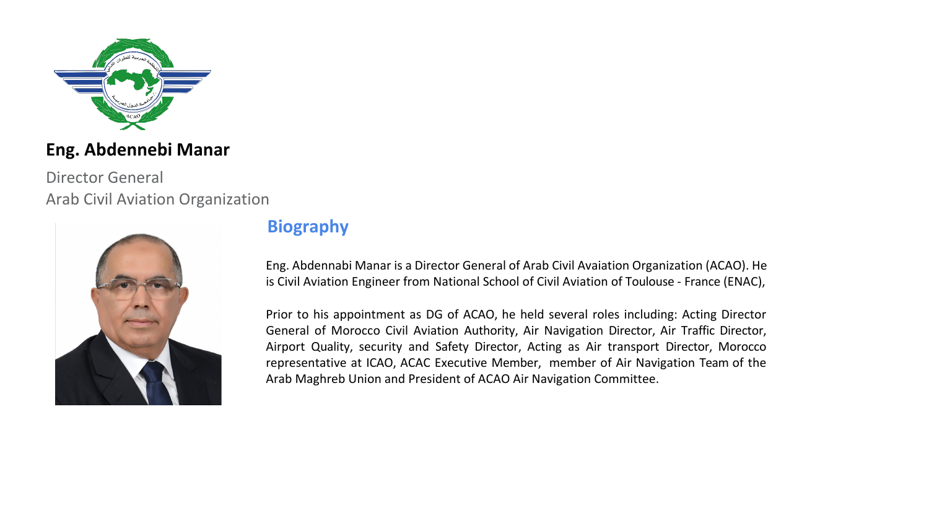

## **Eng. Abdennebi Manar**

Director General Arab Civil Aviation Organization



## **Biography**

Eng. Abdennabi Manar is a Director General of Arab Civil Avaiation Organization (ACAO). He is Civil Aviation Engineer from National School of Civil Aviation of Toulouse - France (ENAC),

Prior to his appointment as DG of ACAO, he held several roles including: Acting Director General of Morocco Civil Aviation Authority, Air Navigation Director, Air Traffic Director, Airport Quality, security and Safety Director, Acting as Air transport Director, Morocco representative at ICAO, ACAC Executive Member, member of Air Navigation Team of the Arab Maghreb Union and President of ACAO Air Navigation Committee.